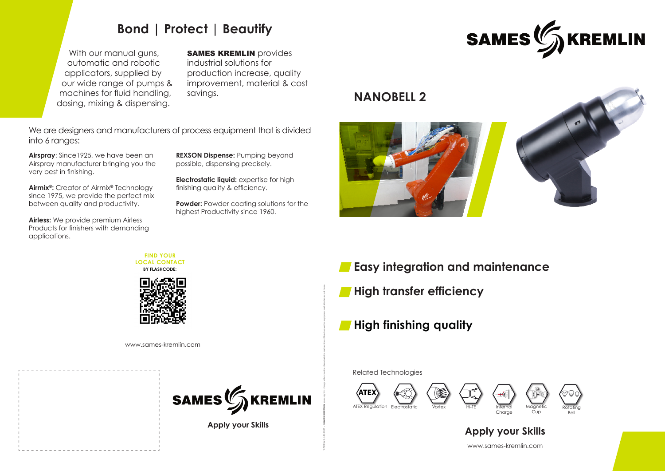









**Apply your Skills**

**FIND YOUR LOCAL CONTACT BY FLASHCODE:**



1703.573.646.002 - SAMES KREMLIN saves right to change without notice characteristics and services offered as well as equipment and attachments of these.

# **Bond | Protect | Beautify**

With our manual guns, automatic and robotic applicators, supplied by our wide range of pumps & machines for fluid handling, dosing, mixing & dispensing.

## **SAMES KREMLIN** provides

industrial solutions for production increase, quality improvement, material & cost savings.

**Powder:** Powder coating solutions for the highest Productivity since 1960.

**Airspray**: Since1925, we have been an Airspray manufacturer bringing you the very best in finishing.

- **High transfer efficiency**
- **High finishing quality**





**Airmix®:** Creator of Airmix**®** Technology since 1975, we provide the perfect mix between quality and productivity.

**Airless:** We provide premium Airless Products for finishers with demanding applications.

**REXSON Dispense:** Pumping beyond possible, dispensing precisely.

**Electrostatic liquid:** expertise for high finishing quality & efficiency.

We are designers and manufacturers of process equipment that is divided into 6 ranges:

www.sames-kremlin.com



www.sames-kremlin.com **Apply your Skills**





**Easy integration and maintenance**

# **NANOBELL 2**



Related Technologies